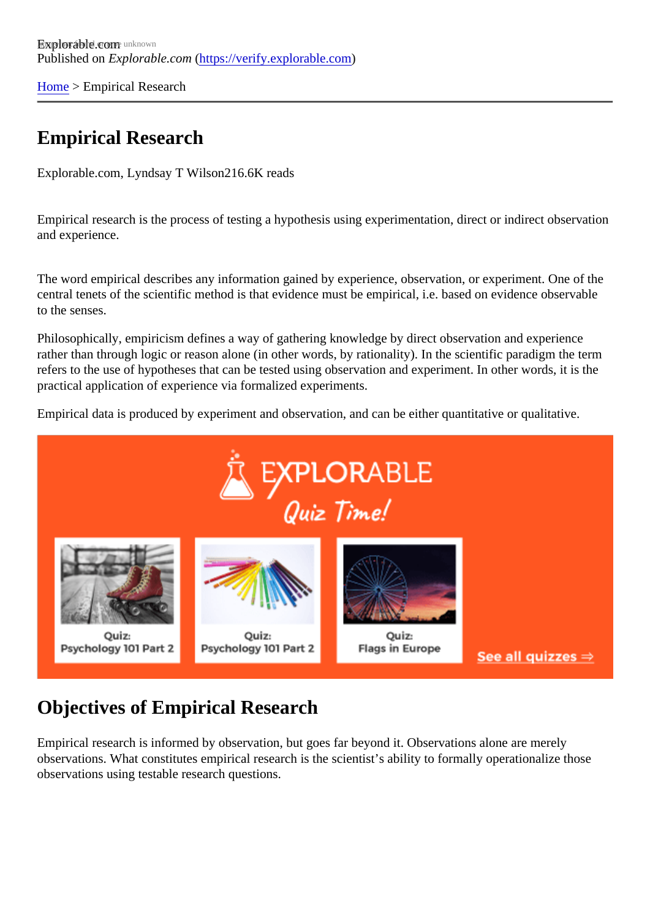[Home](https://verify.explorable.com/)> Empirical Research

## Empirical Research

Explorable.com, Lyndsay T Wils@16.6K reads

Empirical research is the process of testing a hypothesis using experimentation, direct or indirect observation and experience.

The word empirical describes any information gained by experience, observation, or experiment. One of the central tenets of the scientific method is that evidence must be empirical, i.e. based on evidence observab to the senses.

Philosophically, empiricism defines a way of gathering knowledge by direct observation and experience rather than through logic or reason alone (in other words, by rationality). In the scientific paradigm the term refers to the use of hypotheses that can be tested using observation and experiment. In other words, it is the practical application of experience via formalized experiments.

Empirical data is produced by experiment and observation, and can be either quantitative or qualitative.

## Objectives of Empirical Research

Empirical research is informed by observation, but goes far beyond it. Observations alone are merely observations. What constitutes empirical research is the scientist's ability to formally operationalize those observations using testable research questions.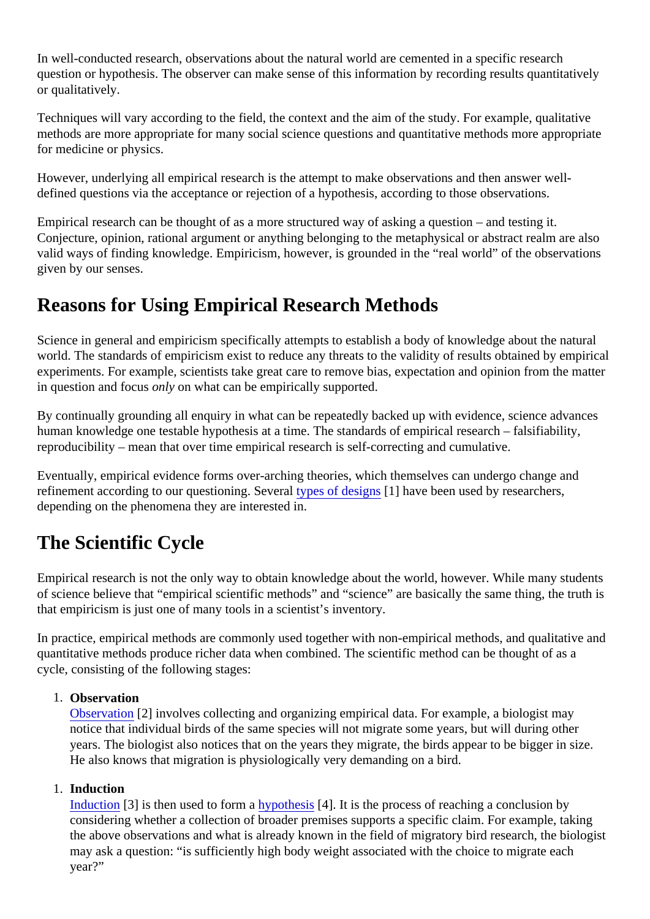In well-conducted research, observations about the natural world are cemented in a specific research question or hypothesis. The observer can make sense of this information by recording results quantitativel or qualitatively.

Techniques will vary according to the field, the context and the aim of the study. For example, qualitative methods are more appropriate for many social science questions and quantitative methods more appropri for medicine or physics.

However, underlying all empirical research is the attempt to make observations and then answer welldefined questions via the acceptance or rejection of a hypothesis, according to those observations.

Empirical research can be thought of as a more structured way of asking a question – and testing it. Conjecture, opinion, rational argument or anything belonging to the metaphysical or abstract realm are als valid ways of finding knowledge. Empiricism, however, is grounded in the "real world" of the observations given by our senses.

## Reasons for Using Empirical Research Methods

Science in general and empiricism specifically attempts to establish a body of knowledge about the natural world. The standards of empiricism exist to reduce any threats to the validity of results obtained by empiric experiments. For example, scientists take great care to remove bias, expectation and opinion from the ma in question and focus nly on what can be empirically supported.

By continually grounding all enquiry in what can be repeatedly backed up with evidence, science advance human knowledge one testable hypothesis at a time. The standards of empirical research – falsifiability, reproducibility – mean that over time empirical research is self-correcting and cumulative.

Eventually, empirical evidence forms over-arching theories, which themselves can undergo change and refinement according to our questioning. Severally of designed have been used by researchers, depending on the phenomena they are interested in.

# The Scientific Cycle

Empirical research is not the only way to obtain knowledge about the world, however. While many student of science believe that "empirical scientific methods" and "science" are basically the same thing, the truth i that empiricism is just one of many tools in a scientist's inventory.

In practice, empirical methods are commonly used together with non-empirical methods, and qualitative and quantitative methods produce richer data when combined. The scientific method can be thought of as a cycle, consisting of the following stages:

1. Observation

[Observation](https://explorable.com/scientific-observation)[2] involves collecting and organizing empirical data. For example, a biologist may notice that individual birds of the same species will not migrate some years, but will during other years. The biologist also notices that on the years they migrate, the birds appear to be bigger in size. He also knows that migration is physiologically very demanding on a bird.

1. Induction

[Induction](https://explorable.com/inductive-reasoning)[3] is then used to form  $a$  pothesis<sup>[4]</sup>. It is the process of reaching a conclusion by considering whether a collection of broader premises supports a specific claim. For example, taking the above observations and what is already known in the field of migratory bird research, the biologistion may ask a question: "is sufficiently high body weight associated with the choice to migrate each year?"